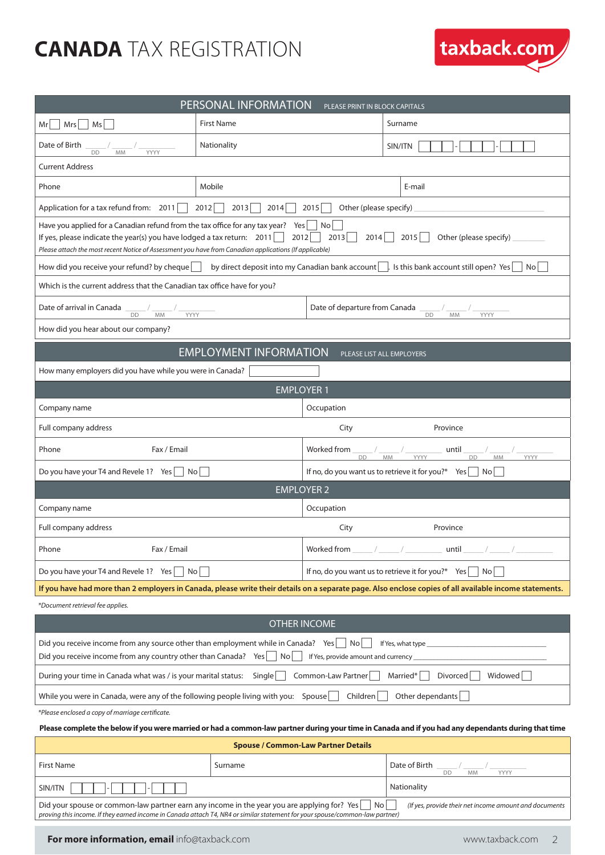## **CANADA** TAX REGISTRATION

| PERSONAL INFORMATION<br>PLEASE PRINT IN BLOCK CAPITALS                                                                                                                                                                                                                                                                                              |                                                        |                                                                       |                                                              |  |  |  |
|-----------------------------------------------------------------------------------------------------------------------------------------------------------------------------------------------------------------------------------------------------------------------------------------------------------------------------------------------------|--------------------------------------------------------|-----------------------------------------------------------------------|--------------------------------------------------------------|--|--|--|
| $Mrs$ $Ms$<br>Mr                                                                                                                                                                                                                                                                                                                                    | <b>First Name</b>                                      |                                                                       | Surname                                                      |  |  |  |
| Date of Birth<br><b>DD</b><br>YYYY<br><b>MM</b>                                                                                                                                                                                                                                                                                                     | Nationality                                            |                                                                       | SIN/ITN                                                      |  |  |  |
| <b>Current Address</b>                                                                                                                                                                                                                                                                                                                              |                                                        |                                                                       |                                                              |  |  |  |
| Phone                                                                                                                                                                                                                                                                                                                                               | Mobile                                                 |                                                                       | E-mail                                                       |  |  |  |
| Application for a tax refund from: 2011                                                                                                                                                                                                                                                                                                             | 2012<br>Other (please specify)<br>2013<br>2014<br>2015 |                                                                       |                                                              |  |  |  |
| Have you applied for a Canadian refund from the tax office for any tax year?<br>$ $ No<br>Yes  <br>2013<br>If yes, please indicate the year(s) you have lodged a tax return: $2011$<br>$2012$  <br>2014<br>2015<br>Other (please specify)<br>Please attach the most recent Notice of Assessment you have from Canadian applications (If applicable) |                                                        |                                                                       |                                                              |  |  |  |
| How did you receive your refund? by cheque by direct deposit into my Canadian bank account list his bank account still open? Yes<br>Nol                                                                                                                                                                                                             |                                                        |                                                                       |                                                              |  |  |  |
| Which is the current address that the Canadian tax office have for you?                                                                                                                                                                                                                                                                             |                                                        |                                                                       |                                                              |  |  |  |
| Date of arrival in Canada<br>Date of departure from Canada ________/<br>DD<br>DD<br><b>MM</b><br>YYYY<br>MM<br>YYYY                                                                                                                                                                                                                                 |                                                        |                                                                       |                                                              |  |  |  |
| How did you hear about our company?                                                                                                                                                                                                                                                                                                                 |                                                        |                                                                       |                                                              |  |  |  |
| <b>EMPLOYMENT INFORMATION</b><br>PLEASE LIST ALL EMPLOYERS                                                                                                                                                                                                                                                                                          |                                                        |                                                                       |                                                              |  |  |  |
| How many employers did you have while you were in Canada?                                                                                                                                                                                                                                                                                           |                                                        |                                                                       |                                                              |  |  |  |
| <b>EMPLOYER 1</b>                                                                                                                                                                                                                                                                                                                                   |                                                        |                                                                       |                                                              |  |  |  |
| Company name                                                                                                                                                                                                                                                                                                                                        |                                                        | Occupation                                                            |                                                              |  |  |  |
| Full company address                                                                                                                                                                                                                                                                                                                                |                                                        | City                                                                  | Province                                                     |  |  |  |
| Fax / Email<br>Phone                                                                                                                                                                                                                                                                                                                                |                                                        | Worked from<br>D <sub>D</sub>                                         | until<br>YYYY<br><b>MM</b><br><b>DD</b><br><b>MM</b><br>YYYY |  |  |  |
| Do you have your T4 and Revele 1? Yes   No                                                                                                                                                                                                                                                                                                          |                                                        | If no, do you want us to retrieve it for you?* Yes $\Box$ No          |                                                              |  |  |  |
| <b>EMPLOYER 2</b>                                                                                                                                                                                                                                                                                                                                   |                                                        |                                                                       |                                                              |  |  |  |
| Company name                                                                                                                                                                                                                                                                                                                                        |                                                        | Occupation                                                            |                                                              |  |  |  |
| Full company address                                                                                                                                                                                                                                                                                                                                |                                                        | City<br>Province                                                      |                                                              |  |  |  |
| Phone<br>Fax / Email                                                                                                                                                                                                                                                                                                                                |                                                        | Worked from<br>$\_$ until $\_$                                        |                                                              |  |  |  |
| Do you have your T4 and Revele 1? Yes $\vert$<br>No l                                                                                                                                                                                                                                                                                               |                                                        | If no, do you want us to retrieve it for you?* Yes<br>No <sub>1</sub> |                                                              |  |  |  |
| If you have had more than 2 employers in Canada, please write their details on a separate page. Also enclose copies of all available income statements.                                                                                                                                                                                             |                                                        |                                                                       |                                                              |  |  |  |
| *Document retrieval fee applies.                                                                                                                                                                                                                                                                                                                    |                                                        |                                                                       |                                                              |  |  |  |
| <b>OTHER INCOME</b>                                                                                                                                                                                                                                                                                                                                 |                                                        |                                                                       |                                                              |  |  |  |
| Did you receive income from any source other than employment while in Canada? Yes $ $ No<br>If Yes, what type<br>Did you receive income from any country other than Canada? Yes $\vert$ No<br>If Yes, provide amount and currency                                                                                                                   |                                                        |                                                                       |                                                              |  |  |  |
| Widowed<br>Common-Law Partner<br>Married*<br>Divorced<br>During your time in Canada what was / is your marital status:<br>Single                                                                                                                                                                                                                    |                                                        |                                                                       |                                                              |  |  |  |
| While you were in Canada, were any of the following people living with you: Spouse<br>Children<br>Other dependants                                                                                                                                                                                                                                  |                                                        |                                                                       |                                                              |  |  |  |
| *Please enclosed a copy of marriage certificate.                                                                                                                                                                                                                                                                                                    |                                                        |                                                                       |                                                              |  |  |  |
| Please complete the below if you were married or had a common-law partner during your time in Canada and if you had any dependants during that time                                                                                                                                                                                                 |                                                        |                                                                       |                                                              |  |  |  |
| <b>Spouse / Common-Law Partner Details</b>                                                                                                                                                                                                                                                                                                          |                                                        |                                                                       |                                                              |  |  |  |
| <b>First Name</b>                                                                                                                                                                                                                                                                                                                                   | Surname                                                |                                                                       | Date of Birth<br>DD<br>YYYY<br><b>MM</b>                     |  |  |  |
| Nationality<br>SIN/ITN                                                                                                                                                                                                                                                                                                                              |                                                        |                                                                       |                                                              |  |  |  |
| Did your spouse or common-law partner earn any income in the year you are applying for? Yes<br>No<br>(If yes, provide their net income amount and documents<br>proving this income. If they earned income in Canada attach T4, NR4 or similar statement for your spouse/common-law partner)                                                         |                                                        |                                                                       |                                                              |  |  |  |

taxback.com